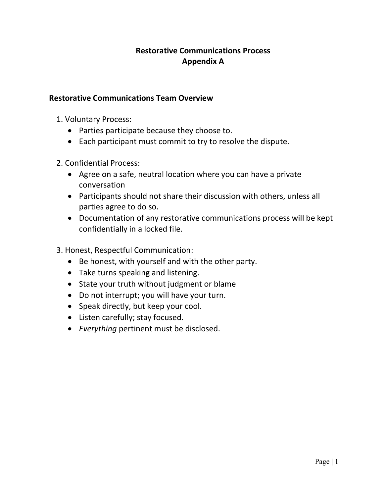## Restorative Communications Process Appendix A

## Restorative Communications Team Overview

- 1. Voluntary Process:
	- Parties participate because they choose to.
	- Each participant must commit to try to resolve the dispute.
- 2. Confidential Process:
	- Agree on a safe, neutral location where you can have a private conversation
	- Participants should not share their discussion with others, unless all parties agree to do so.
	- Documentation of any restorative communications process will be kept confidentially in a locked file.
- 3. Honest, Respectful Communication:
	- Be honest, with yourself and with the other party.
	- Take turns speaking and listening.
	- State your truth without judgment or blame
	- Do not interrupt; you will have your turn.
	- Speak directly, but keep your cool.
	- Listen carefully; stay focused.
	- Everything pertinent must be disclosed.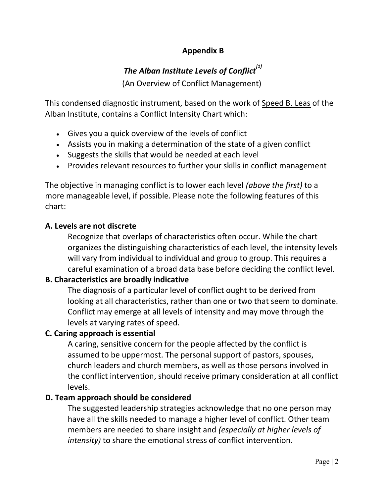# Appendix B

# The Alban Institute Levels of Conflict $^{\left[1\right]}$

(An Overview of Conflict Management)

This condensed diagnostic instrument, based on the work of Speed B. Leas of the Alban Institute, contains a Conflict Intensity Chart which:

- Gives you a quick overview of the levels of conflict
- Assists you in making a determination of the state of a given conflict
- Suggests the skills that would be needed at each level
- Provides relevant resources to further your skills in conflict management

The objective in managing conflict is to lower each level *(above the first)* to a more manageable level, if possible. Please note the following features of this chart:

# A. Levels are not discrete

Recognize that overlaps of characteristics often occur. While the chart organizes the distinguishing characteristics of each level, the intensity levels will vary from individual to individual and group to group. This requires a careful examination of a broad data base before deciding the conflict level.

# B. Characteristics are broadly indicative

The diagnosis of a particular level of conflict ought to be derived from looking at all characteristics, rather than one or two that seem to dominate. Conflict may emerge at all levels of intensity and may move through the levels at varying rates of speed.

# C. Caring approach is essential

A caring, sensitive concern for the people affected by the conflict is assumed to be uppermost. The personal support of pastors, spouses, church leaders and church members, as well as those persons involved in the conflict intervention, should receive primary consideration at all conflict levels.

# D. Team approach should be considered

The suggested leadership strategies acknowledge that no one person may have all the skills needed to manage a higher level of conflict. Other team members are needed to share insight and (especially at higher levels of intensity) to share the emotional stress of conflict intervention.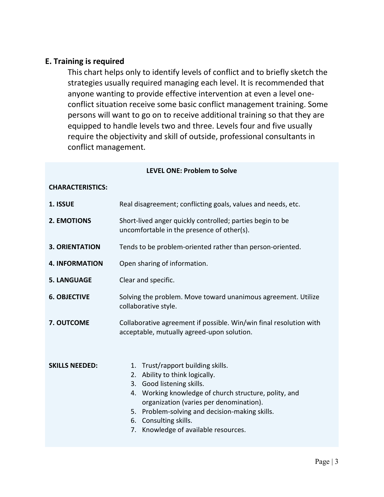## E. Training is required

This chart helps only to identify levels of conflict and to briefly sketch the strategies usually required managing each level. It is recommended that anyone wanting to provide effective intervention at even a level oneconflict situation receive some basic conflict management training. Some persons will want to go on to receive additional training so that they are equipped to handle levels two and three. Levels four and five usually require the objectivity and skill of outside, professional consultants in conflict management.

### LEVEL ONE: Problem to Solve

### CHARACTERISTICS:

| 1. ISSUE              | Real disagreement; conflicting goals, values and needs, etc.                                                                                                                                                                                                                                                            |
|-----------------------|-------------------------------------------------------------------------------------------------------------------------------------------------------------------------------------------------------------------------------------------------------------------------------------------------------------------------|
| <b>2. EMOTIONS</b>    | Short-lived anger quickly controlled; parties begin to be<br>uncomfortable in the presence of other(s).                                                                                                                                                                                                                 |
| <b>3. ORIENTATION</b> | Tends to be problem-oriented rather than person-oriented.                                                                                                                                                                                                                                                               |
| <b>4. INFORMATION</b> | Open sharing of information.                                                                                                                                                                                                                                                                                            |
| <b>5. LANGUAGE</b>    | Clear and specific.                                                                                                                                                                                                                                                                                                     |
| <b>6. OBJECTIVE</b>   | Solving the problem. Move toward unanimous agreement. Utilize<br>collaborative style.                                                                                                                                                                                                                                   |
| 7. OUTCOME            | Collaborative agreement if possible. Win/win final resolution with<br>acceptable, mutually agreed-upon solution.                                                                                                                                                                                                        |
| <b>SKILLS NEEDED:</b> | 1. Trust/rapport building skills.<br>2. Ability to think logically.<br>3. Good listening skills.<br>4. Working knowledge of church structure, polity, and<br>organization (varies per denomination).<br>5. Problem-solving and decision-making skills.<br>6. Consulting skills.<br>7. Knowledge of available resources. |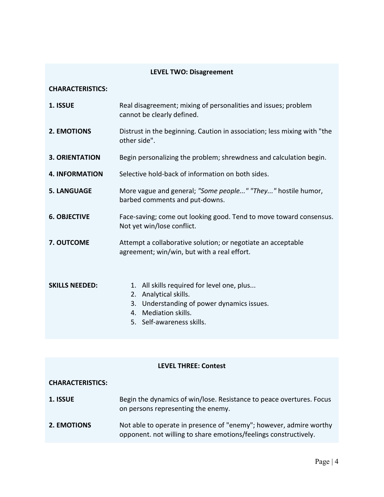## LEVEL TWO: Disagreement

#### CHARACTERISTICS:

| 1. ISSUE              | Real disagreement; mixing of personalities and issues; problem<br>cannot be clearly defined.                                                                                    |  |
|-----------------------|---------------------------------------------------------------------------------------------------------------------------------------------------------------------------------|--|
| <b>2. EMOTIONS</b>    | Distrust in the beginning. Caution in association; less mixing with "the<br>other side".                                                                                        |  |
| <b>3. ORIENTATION</b> | Begin personalizing the problem; shrewdness and calculation begin.                                                                                                              |  |
| <b>4. INFORMATION</b> | Selective hold-back of information on both sides.                                                                                                                               |  |
| <b>5. LANGUAGE</b>    | More vague and general; "Some people" "They" hostile humor,<br>barbed comments and put-downs.                                                                                   |  |
| <b>6. OBJECTIVE</b>   | Face-saving; come out looking good. Tend to move toward consensus.<br>Not yet win/lose conflict.                                                                                |  |
| 7. OUTCOME            | Attempt a collaborative solution; or negotiate an acceptable<br>agreement; win/win, but with a real effort.                                                                     |  |
| <b>SKILLS NEEDED:</b> | All skills required for level one, plus<br>1.<br>Analytical skills.<br>2.<br>Understanding of power dynamics issues.<br>3.<br>4. Mediation skills.<br>5. Self-awareness skills. |  |

## LEVEL THREE: Contest

### CHARACTERISTICS:

| 1. ISSUE           | Begin the dynamics of win/lose. Resistance to peace overtures. Focus<br>on persons representing the enemy.                             |
|--------------------|----------------------------------------------------------------------------------------------------------------------------------------|
| <b>2. EMOTIONS</b> | Not able to operate in presence of "enemy"; however, admire worthy<br>opponent. not willing to share emotions/feelings constructively. |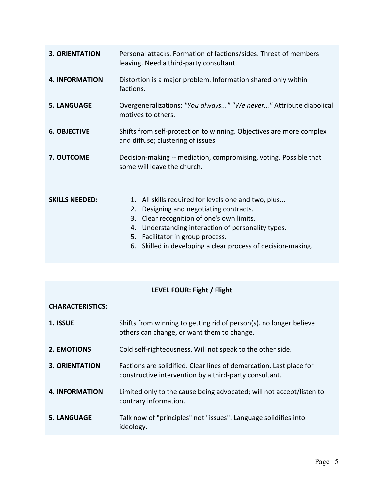| <b>3. ORIENTATION</b> | Personal attacks. Formation of factions/sides. Threat of members<br>leaving. Need a third-party consultant.                                                                                                                                                                                                       |  |
|-----------------------|-------------------------------------------------------------------------------------------------------------------------------------------------------------------------------------------------------------------------------------------------------------------------------------------------------------------|--|
| <b>4. INFORMATION</b> | Distortion is a major problem. Information shared only within<br>factions.                                                                                                                                                                                                                                        |  |
| <b>5. LANGUAGE</b>    | Overgeneralizations: "You always" "We never" Attribute diabolical<br>motives to others.                                                                                                                                                                                                                           |  |
| <b>6. OBJECTIVE</b>   | Shifts from self-protection to winning. Objectives are more complex<br>and diffuse; clustering of issues.                                                                                                                                                                                                         |  |
| 7. OUTCOME            | Decision-making -- mediation, compromising, voting. Possible that<br>some will leave the church.                                                                                                                                                                                                                  |  |
| <b>SKILLS NEEDED:</b> | 1. All skills required for levels one and two, plus<br>Designing and negotiating contracts.<br>2.<br>3.<br>Clear recognition of one's own limits.<br>Understanding interaction of personality types.<br>4.<br>5. Facilitator in group process.<br>Skilled in developing a clear process of decision-making.<br>6. |  |

# LEVEL FOUR: Fight / Flight

## CHARACTERISTICS:

| 1. ISSUE              | Shifts from winning to getting rid of person(s). no longer believe<br>others can change, or want them to change.              |
|-----------------------|-------------------------------------------------------------------------------------------------------------------------------|
| <b>2. EMOTIONS</b>    | Cold self-righteousness. Will not speak to the other side.                                                                    |
| <b>3. ORIENTATION</b> | Factions are solidified. Clear lines of demarcation. Last place for<br>constructive intervention by a third-party consultant. |
| <b>4. INFORMATION</b> | Limited only to the cause being advocated; will not accept/listen to<br>contrary information.                                 |
| <b>5. LANGUAGE</b>    | Talk now of "principles" not "issues". Language solidifies into<br>ideology.                                                  |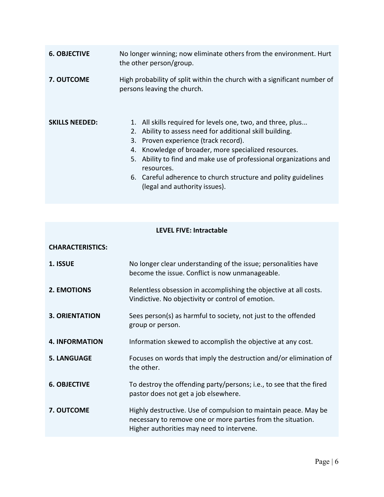| <b>6. OBJECTIVE</b>   | No longer winning; now eliminate others from the environment. Hurt<br>the other person/group.                                                                                                                                                                                                                                                                                                                          |  |
|-----------------------|------------------------------------------------------------------------------------------------------------------------------------------------------------------------------------------------------------------------------------------------------------------------------------------------------------------------------------------------------------------------------------------------------------------------|--|
| <b>7. OUTCOME</b>     | High probability of split within the church with a significant number of<br>persons leaving the church.                                                                                                                                                                                                                                                                                                                |  |
| <b>SKILLS NEEDED:</b> | 1. All skills required for levels one, two, and three, plus<br>Ability to assess need for additional skill building.<br>2.<br>3. Proven experience (track record).<br>Knowledge of broader, more specialized resources.<br>4.<br>Ability to find and make use of professional organizations and<br>5.<br>resources.<br>6. Careful adherence to church structure and polity guidelines<br>(legal and authority issues). |  |

## LEVEL FIVE: Intractable

| <b>CHARACTERISTICS:</b> |                                                                                                                                                                             |
|-------------------------|-----------------------------------------------------------------------------------------------------------------------------------------------------------------------------|
| 1. ISSUE                | No longer clear understanding of the issue; personalities have<br>become the issue. Conflict is now unmanageable.                                                           |
| 2. EMOTIONS             | Relentless obsession in accomplishing the objective at all costs.<br>Vindictive. No objectivity or control of emotion.                                                      |
| <b>3. ORIENTATION</b>   | Sees person(s) as harmful to society, not just to the offended<br>group or person.                                                                                          |
| <b>4. INFORMATION</b>   | Information skewed to accomplish the objective at any cost.                                                                                                                 |
| <b>5. LANGUAGE</b>      | Focuses on words that imply the destruction and/or elimination of<br>the other.                                                                                             |
| <b>6. OBJECTIVE</b>     | To destroy the offending party/persons; i.e., to see that the fired<br>pastor does not get a job elsewhere.                                                                 |
| 7. OUTCOME              | Highly destructive. Use of compulsion to maintain peace. May be<br>necessary to remove one or more parties from the situation.<br>Higher authorities may need to intervene. |